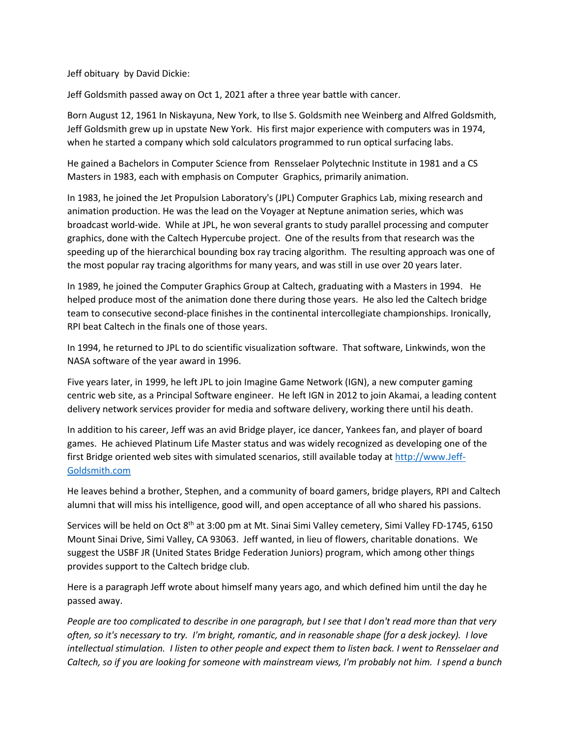Jeff obituary by David Dickie:

Jeff Goldsmith passed away on Oct 1, 2021 after a three year battle with cancer.

Born August 12, 1961 In Niskayuna, New York, to Ilse S. Goldsmith nee Weinberg and Alfred Goldsmith, Jeff Goldsmith grew up in upstate New York. His first major experience with computers was in 1974, when he started a company which sold calculators programmed to run optical surfacing labs.

He gained a Bachelors in Computer Science from Rensselaer Polytechnic Institute in 1981 and a CS Masters in 1983, each with emphasis on Computer Graphics, primarily animation.

In 1983, he joined the Jet Propulsion Laboratory's (JPL) Computer Graphics Lab, mixing research and animation production. He was the lead on the Voyager at Neptune animation series, which was broadcast world-wide. While at JPL, he won several grants to study parallel processing and computer graphics, done with the Caltech Hypercube project. One of the results from that research was the speeding up of the hierarchical bounding box ray tracing algorithm. The resulting approach was one of the most popular ray tracing algorithms for many years, and was still in use over 20 years later.

In 1989, he joined the Computer Graphics Group at Caltech, graduating with a Masters in 1994. He helped produce most of the animation done there during those years. He also led the Caltech bridge team to consecutive second-place finishes in the continental intercollegiate championships. Ironically, RPI beat Caltech in the finals one of those years.

In 1994, he returned to JPL to do scientific visualization software. That software, Linkwinds, won the NASA software of the year award in 1996.

Five years later, in 1999, he left JPL to join Imagine Game Network (IGN), a new computer gaming centric web site, as a Principal Software engineer. He left IGN in 2012 to join Akamai, a leading content delivery network services provider for media and software delivery, working there until his death.

In addition to his career, Jeff was an avid Bridge player, ice dancer, Yankees fan, and player of board games. He achieved Platinum Life Master status and was widely recognized as developing one of the first Bridge oriented web sites with simulated scenarios, still available today at http://www.Jeff-Goldsmith.com

He leaves behind a brother, Stephen, and a community of board gamers, bridge players, RPI and Caltech alumni that will miss his intelligence, good will, and open acceptance of all who shared his passions.

Services will be held on Oct  $8<sup>th</sup>$  at 3:00 pm at Mt. Sinai Simi Valley cemetery, Simi Valley FD-1745, 6150 Mount Sinai Drive, Simi Valley, CA 93063. Jeff wanted, in lieu of flowers, charitable donations. We suggest the USBF JR (United States Bridge Federation Juniors) program, which among other things provides support to the Caltech bridge club.

Here is a paragraph Jeff wrote about himself many years ago, and which defined him until the day he passed away.

*People are too complicated to describe in one paragraph, but I see that I don't read more than that very often, so it's necessary to try. I'm bright, romantic, and in reasonable shape (for a desk jockey). I love intellectual stimulation. I listen to other people and expect them to listen back. I went to Rensselaer and Caltech, so if you are looking for someone with mainstream views, I'm probably not him. I spend a bunch*